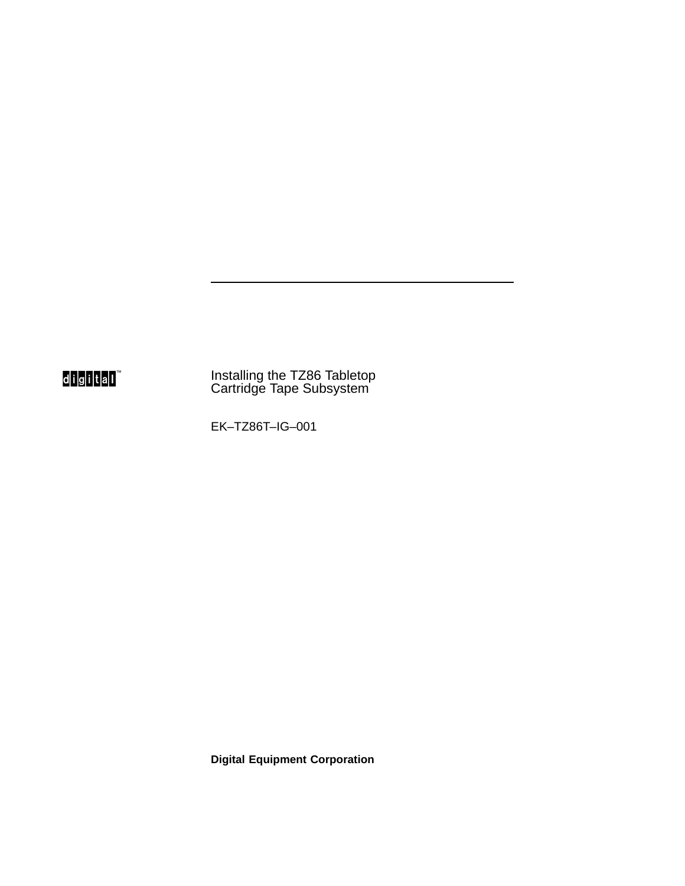## d<mark>igital</mark>"

Installing the TZ86 Tabletop Cartridge Tape Subsystem

EK–TZ86T–IG–001

**Digital Equipment Corporation**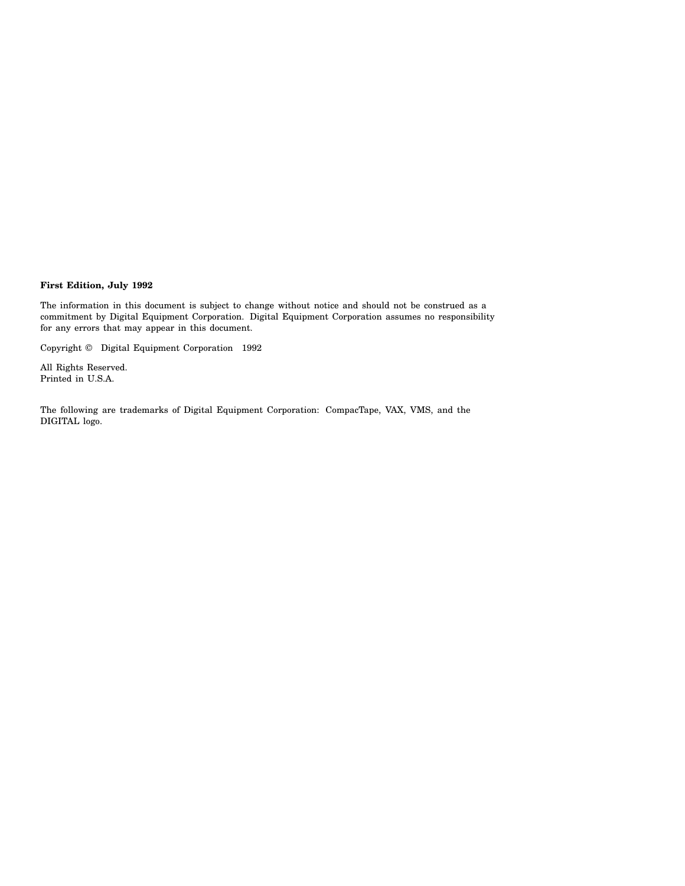#### **First Edition, July 1992**

The information in this document is subject to change without notice and should not be construed as a commitment by Digital Equipment Corporation. Digital Equipment Corporation assumes no responsibility for any errors that may appear in this document.

Copyright © Digital Equipment Corporation 1992

All Rights Reserved. Printed in U.S.A.

The following are trademarks of Digital Equipment Corporation: CompacTape, VAX, VMS, and the DIGITAL logo.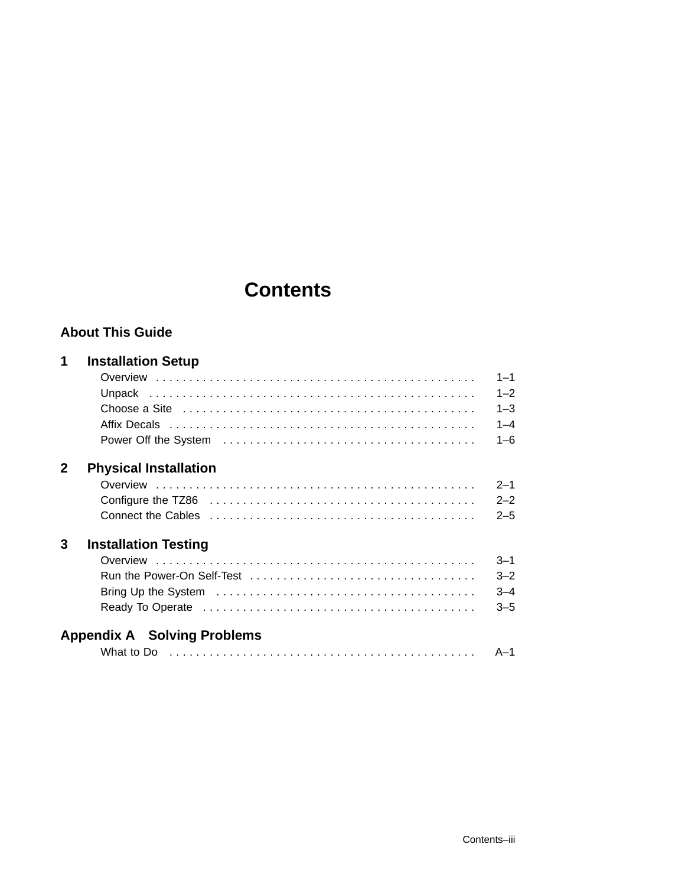## **Contents**

#### **About This Guide**

| 1            | <b>Installation Setup</b>                                                                                                                                                                                                           |         |
|--------------|-------------------------------------------------------------------------------------------------------------------------------------------------------------------------------------------------------------------------------------|---------|
|              |                                                                                                                                                                                                                                     | $1 - 1$ |
|              |                                                                                                                                                                                                                                     | $1 - 2$ |
|              | Choose a Site <i>manually choose</i> a Site manual contained a site of the contained and choose a Site of the Site of the Site of the Site of the Site of the Site of the Site of the Site of the Site of the Site of the Site of t | $1 - 3$ |
|              |                                                                                                                                                                                                                                     | $1 - 4$ |
|              |                                                                                                                                                                                                                                     | $1 - 6$ |
| $\mathbf{2}$ | <b>Physical Installation</b>                                                                                                                                                                                                        |         |
|              |                                                                                                                                                                                                                                     | $2 - 1$ |
|              |                                                                                                                                                                                                                                     | $2 - 2$ |
|              |                                                                                                                                                                                                                                     | $2 - 5$ |
| 3            | <b>Installation Testing</b>                                                                                                                                                                                                         |         |
|              |                                                                                                                                                                                                                                     | $3 - 1$ |
|              |                                                                                                                                                                                                                                     | $3 - 2$ |
|              |                                                                                                                                                                                                                                     | $3 - 4$ |
|              |                                                                                                                                                                                                                                     | $3 - 5$ |
|              | <b>Appendix A Solving Problems</b>                                                                                                                                                                                                  |         |
|              |                                                                                                                                                                                                                                     | $A-1$   |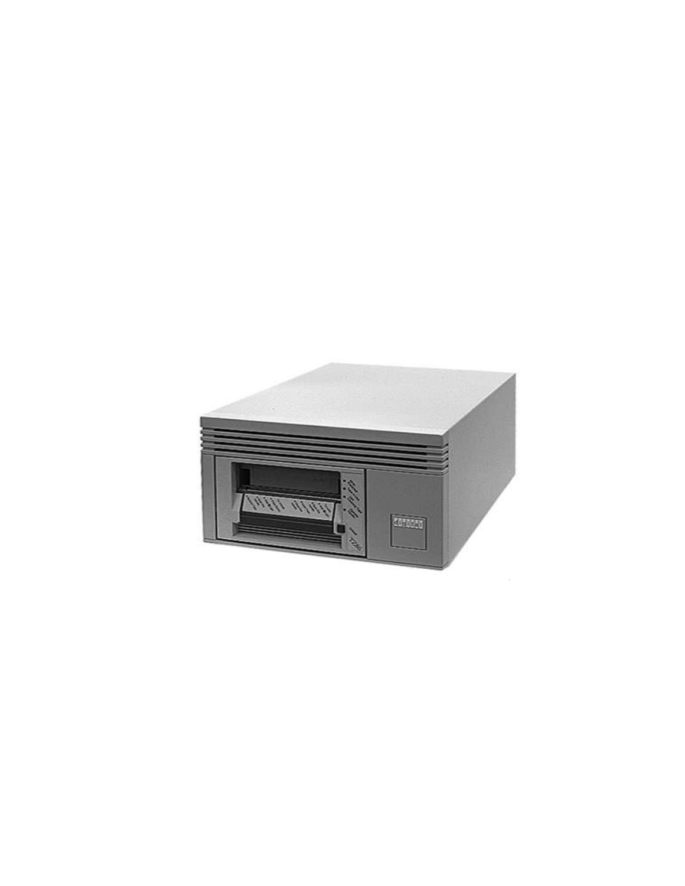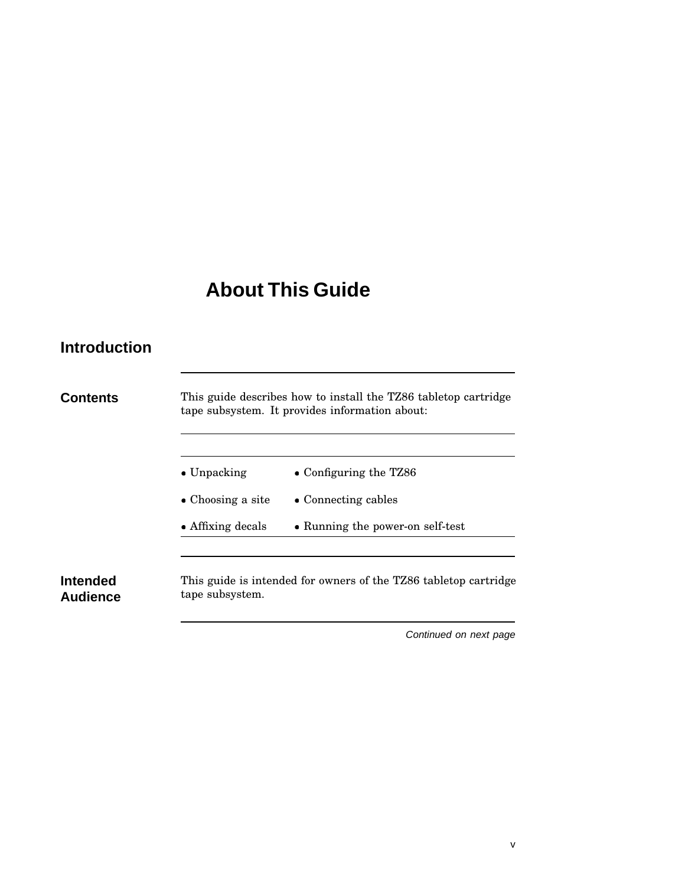## **About This Guide**

#### **Introduction**

| <b>Contents</b>             | This guide describes how to install the TZ86 tabletop cartridge<br>tape subsystem. It provides information about: |                                                                  |  |  |
|-----------------------------|-------------------------------------------------------------------------------------------------------------------|------------------------------------------------------------------|--|--|
|                             | $\bullet$ Unpacking                                                                                               | • Configuring the TZ86                                           |  |  |
|                             | • Choosing a site                                                                                                 | • Connecting cables                                              |  |  |
|                             | • Affixing decals                                                                                                 | • Running the power-on self-test                                 |  |  |
| <b>Intended</b><br>Audience | tape subsystem.                                                                                                   | This guide is intended for owners of the TZ86 tabletop cartridge |  |  |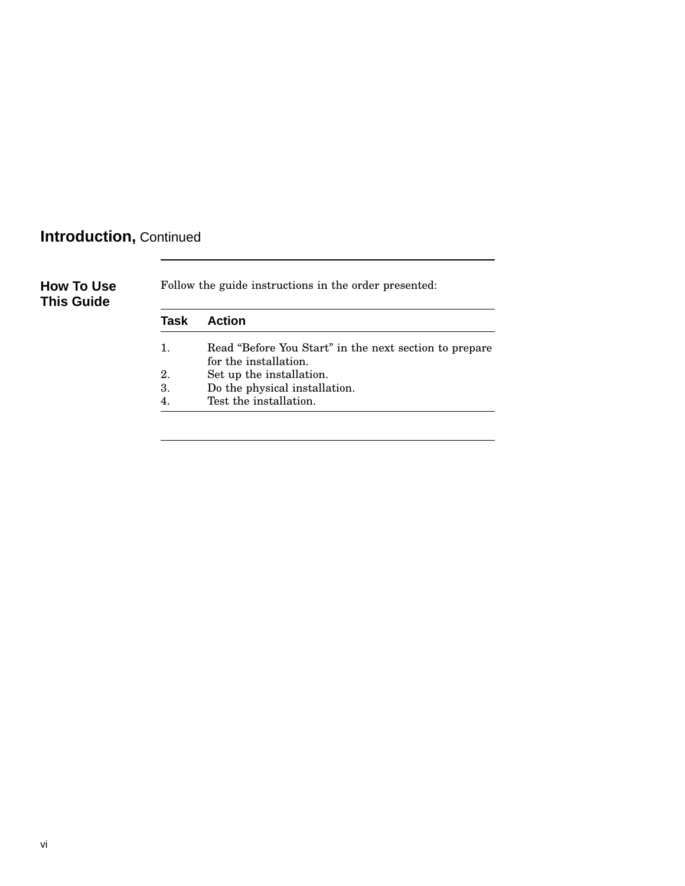## **Introduction,** Continued

| This Guide |      |                                                                                 |
|------------|------|---------------------------------------------------------------------------------|
|            | Task | <b>Action</b>                                                                   |
|            | 1.   | Read "Before You Start" in the next section to prepare<br>for the installation. |
|            | 2.   | Set up the installation.                                                        |
|            | 3.   | Do the physical installation.                                                   |
|            | 4.   | Test the installation.                                                          |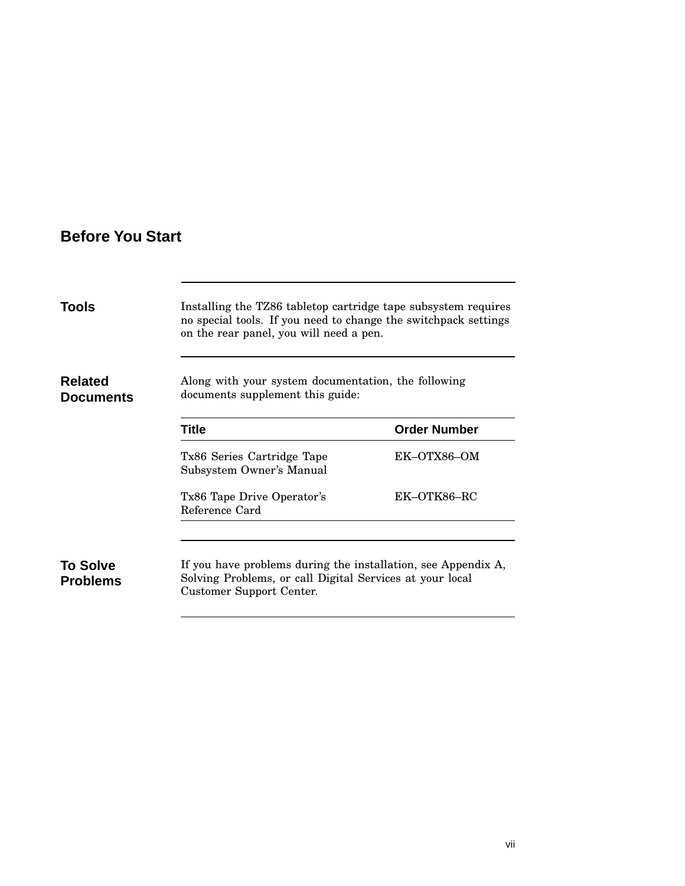### **Before You Start**

| Tools                              | Installing the TZ86 tabletop cartridge tape subsystem requires<br>no special tools. If you need to change the switchpack settings<br>on the rear panel, you will need a pen. |                                                                                                                           |  |  |
|------------------------------------|------------------------------------------------------------------------------------------------------------------------------------------------------------------------------|---------------------------------------------------------------------------------------------------------------------------|--|--|
| <b>Related</b><br><b>Documents</b> | Along with your system documentation, the following<br>documents supplement this guide:                                                                                      |                                                                                                                           |  |  |
|                                    | <b>Title</b>                                                                                                                                                                 | <b>Order Number</b>                                                                                                       |  |  |
|                                    | Tx86 Series Cartridge Tape<br>Subsystem Owner's Manual                                                                                                                       | EK-OTX86-OM                                                                                                               |  |  |
|                                    | Tx86 Tape Drive Operator's<br>Reference Card                                                                                                                                 | EK-OTK86-RC                                                                                                               |  |  |
|                                    |                                                                                                                                                                              |                                                                                                                           |  |  |
| To Solve<br><b>Problems</b>        | Customer Support Center.                                                                                                                                                     | If you have problems during the installation, see Appendix A,<br>Solving Problems, or call Digital Services at your local |  |  |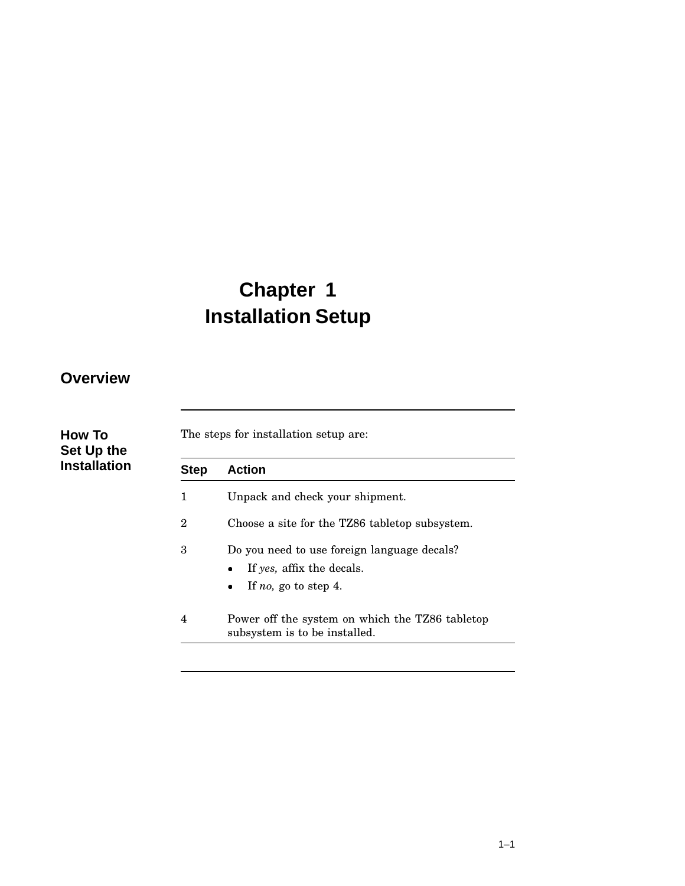## **Chapter 1 Installation Setup**

### **Overview**

| Set Up the<br><b>Installation</b> | <b>Step</b>    | <b>Action</b>                                                                                                 |
|-----------------------------------|----------------|---------------------------------------------------------------------------------------------------------------|
|                                   | 1              | Unpack and check your shipment.                                                                               |
|                                   | $\overline{2}$ | Choose a site for the TZ86 tabletop subsystem.                                                                |
|                                   | 3              | Do you need to use foreign language decals?<br>If yes, affix the decals.<br>If no, go to step 4.<br>$\bullet$ |
|                                   | 4              | Power off the system on which the TZ86 tabletop<br>subsystem is to be installed.                              |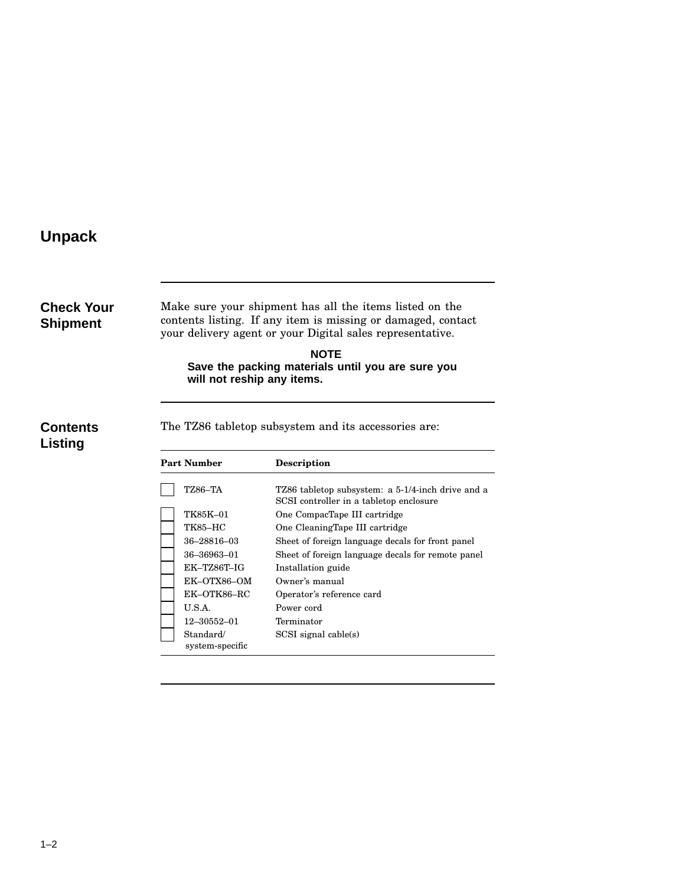## **Unpack**

| <b>Check Your</b><br><b>Shipment</b> | Make sure your shipment has all the items listed on the<br>contents listing. If any item is missing or damaged, contact<br>your delivery agent or your Digital sales representative.<br><b>NOTE</b><br>Save the packing materials until you are sure you<br>will not reship any items. |                                                                                                                                                                                                                                                                                                                                              |  |  |
|--------------------------------------|----------------------------------------------------------------------------------------------------------------------------------------------------------------------------------------------------------------------------------------------------------------------------------------|----------------------------------------------------------------------------------------------------------------------------------------------------------------------------------------------------------------------------------------------------------------------------------------------------------------------------------------------|--|--|
| <b>Contents</b><br>Listing           | <b>Part Number</b>                                                                                                                                                                                                                                                                     | The TZ86 tabletop subsystem and its accessories are:<br><b>Description</b>                                                                                                                                                                                                                                                                   |  |  |
|                                      | <b>TZ86-TA</b><br>TK85K-01<br><b>TK85-HC</b><br>36-28816-03<br>36-36963-01<br>EK-TZ86T-IG<br>EK-OTX86-OM<br>EK-OTK86-RC                                                                                                                                                                | TZ86 tabletop subsystem: a 5-1/4-inch drive and a<br>SCSI controller in a tabletop enclosure<br>One CompacTape III cartridge<br>One CleaningTape III cartridge<br>Sheet of foreign language decals for front panel<br>Sheet of foreign language decals for remote panel<br>Installation guide<br>Owner's manual<br>Operator's reference card |  |  |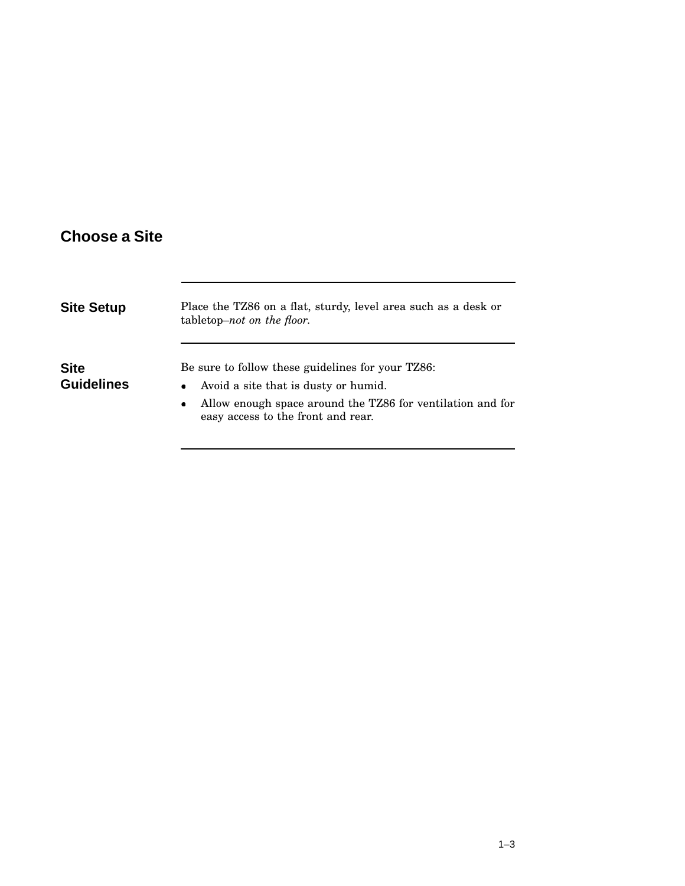## **Choose a Site**

| <b>Site Setup</b>                | Place the TZ86 on a flat, sturdy, level area such as a desk or<br>tabletop-not on the floor.                                                                                                                    |
|----------------------------------|-----------------------------------------------------------------------------------------------------------------------------------------------------------------------------------------------------------------|
| <b>Site</b><br><b>Guidelines</b> | Be sure to follow these guidelines for your TZ86:<br>Avoid a site that is dusty or humid.<br>$\bullet$<br>Allow enough space around the TZ86 for ventilation and for<br>٠<br>easy access to the front and rear. |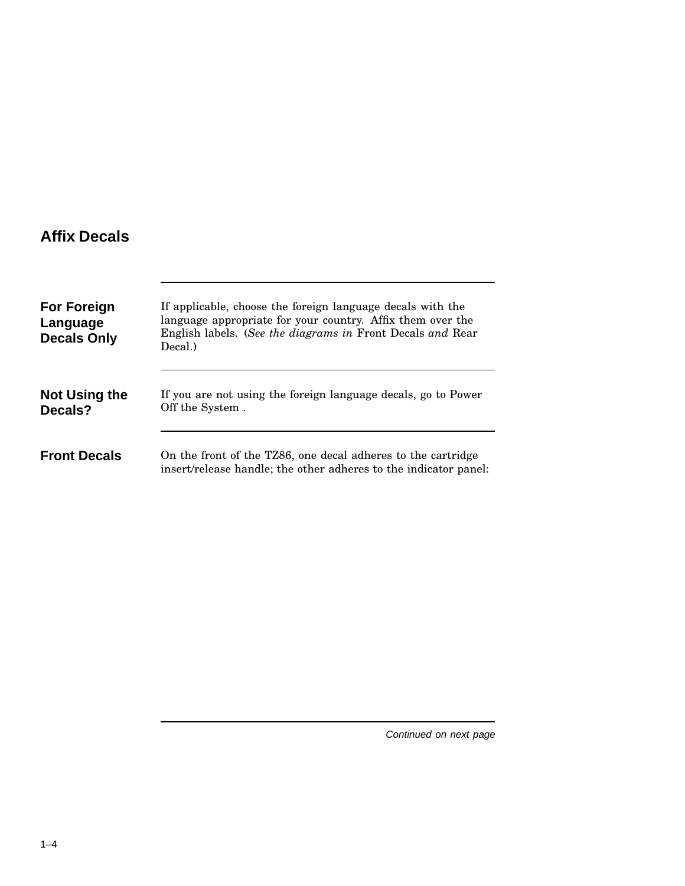#### **Affix Decals**

| <b>For Foreign</b><br>Language<br><b>Decals Only</b> | If applicable, choose the foreign language decals with the<br>language appropriate for your country. Affix them over the<br>English labels. (See the diagrams in Front Decals and Rear<br>Decal. |
|------------------------------------------------------|--------------------------------------------------------------------------------------------------------------------------------------------------------------------------------------------------|
| <b>Not Using the</b><br>Decals?                      | If you are not using the foreign language decals, go to Power<br>Off the System.                                                                                                                 |
| <b>Front Decals</b>                                  | On the front of the TZ86, one decal adheres to the cartridge<br>insert/release handle; the other adheres to the indicator panel:                                                                 |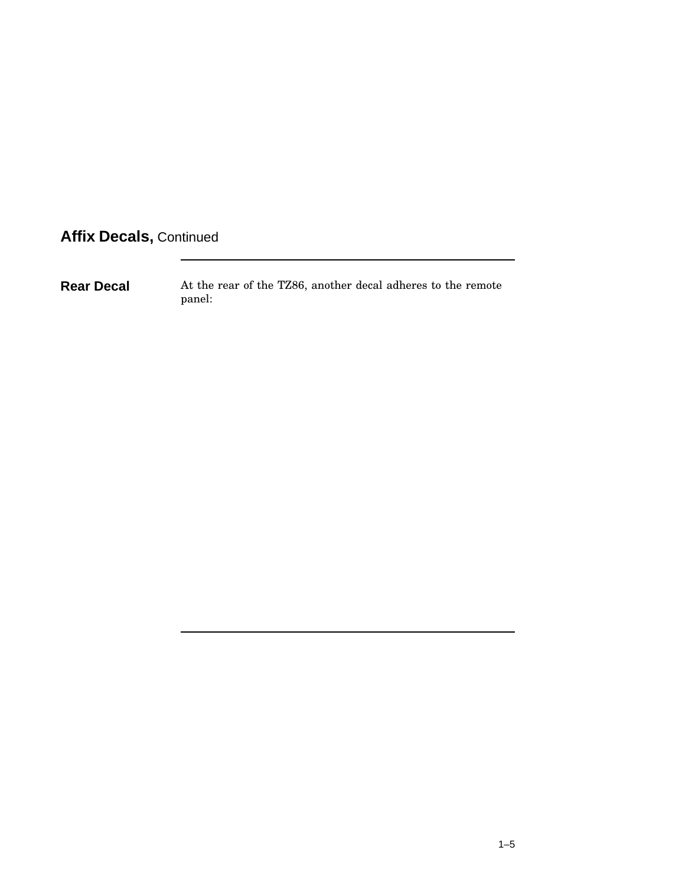### **Affix Decals,** Continued

**Rear Decal** At the rear of the TZ86, another decal adheres to the remote panel: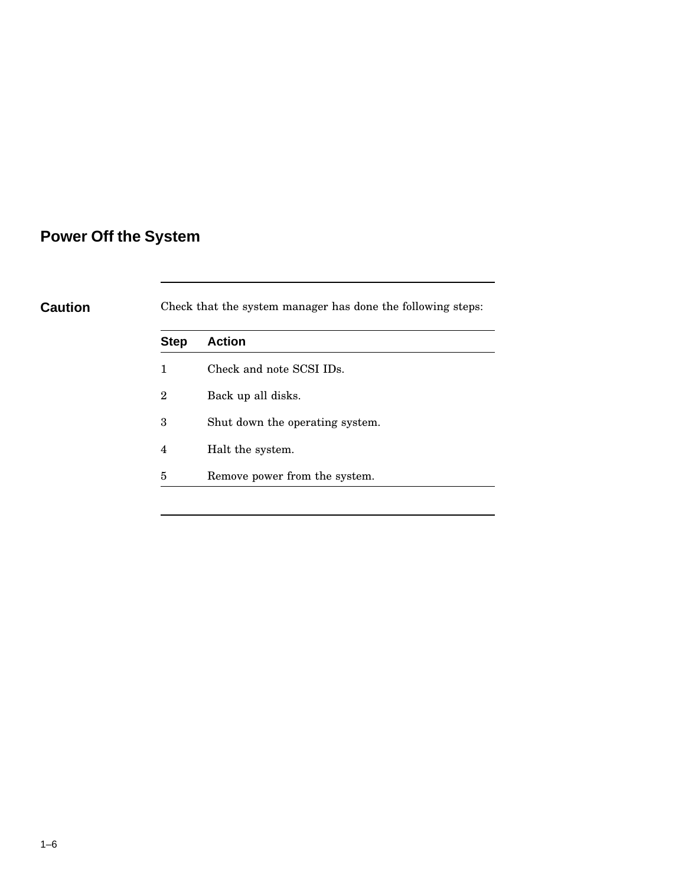## **Power Off the System**

**Caution** 

| <b>Step</b>    | <b>Action</b>                   |
|----------------|---------------------------------|
| 1              | Check and note SCSI IDs.        |
| $\overline{2}$ | Back up all disks.              |
| 3              | Shut down the operating system. |
| 4              | Halt the system.                |
| 5              | Remove power from the system.   |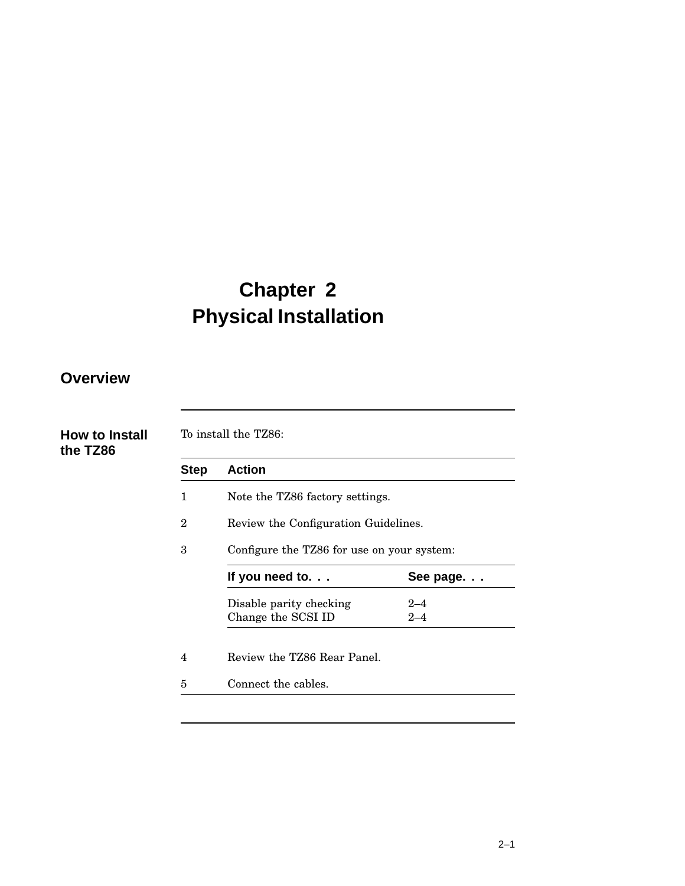## **Chapter 2 Physical Installation**

#### **Overview**

| <b>Step</b>             | <b>Action</b>                                 |                    |  |  |
|-------------------------|-----------------------------------------------|--------------------|--|--|
| 1                       | Note the TZ86 factory settings.               |                    |  |  |
| $\overline{2}$          | Review the Configuration Guidelines.          |                    |  |  |
| 3                       | Configure the TZ86 for use on your system:    |                    |  |  |
|                         | If you need to.                               | See page.          |  |  |
|                         | Disable parity checking<br>Change the SCSI ID | $2 - 4$<br>$2 - 4$ |  |  |
| $\overline{\mathbf{4}}$ | Review the TZ86 Rear Panel.                   |                    |  |  |
| 5                       | Connect the cables.                           |                    |  |  |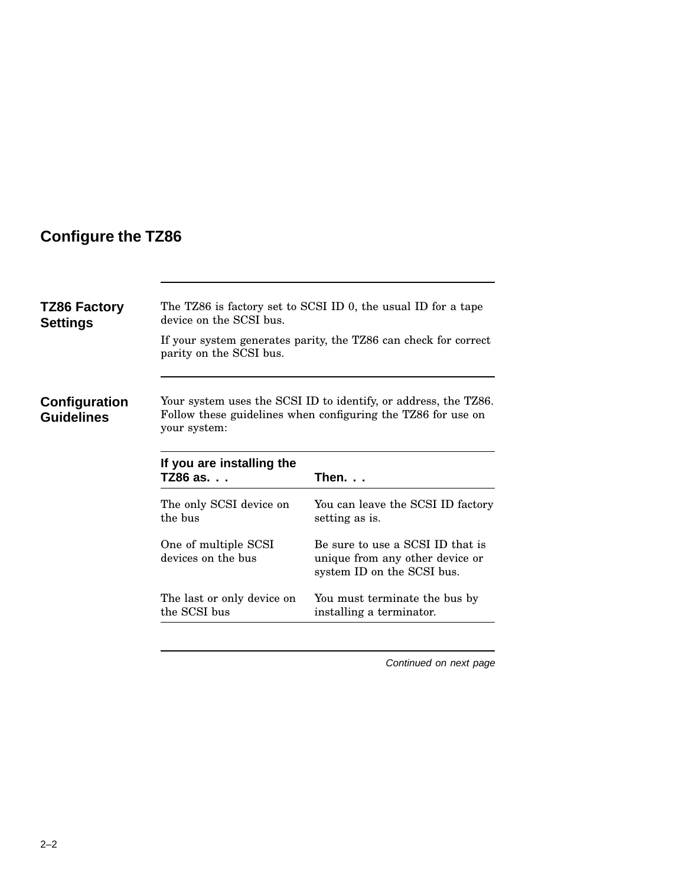## **Configure the TZ86**

| <b>TZ86 Factory</b><br>Settings    | The TZ86 is factory set to SCSI ID 0, the usual ID for a tape<br>device on the SCSI bus.<br>If your system generates parity, the TZ86 can check for correct<br>parity on the SCSI bus. |                                                                                                   |  |  |  |
|------------------------------------|----------------------------------------------------------------------------------------------------------------------------------------------------------------------------------------|---------------------------------------------------------------------------------------------------|--|--|--|
| Configuration<br><b>Guidelines</b> | Your system uses the SCSI ID to identify, or address, the TZ86.<br>Follow these guidelines when configuring the TZ86 for use on<br>your system:                                        |                                                                                                   |  |  |  |
|                                    | If you are installing the<br>TZ86 as...                                                                                                                                                | Then.                                                                                             |  |  |  |
|                                    | The only SCSI device on<br>the bus                                                                                                                                                     | You can leave the SCSI ID factory<br>setting as is.                                               |  |  |  |
|                                    | One of multiple SCSI<br>devices on the bus                                                                                                                                             | Be sure to use a SCSI ID that is<br>unique from any other device or<br>system ID on the SCSI bus. |  |  |  |
|                                    | The last or only device on<br>the SCSI bus                                                                                                                                             | You must terminate the bus by<br>installing a terminator.                                         |  |  |  |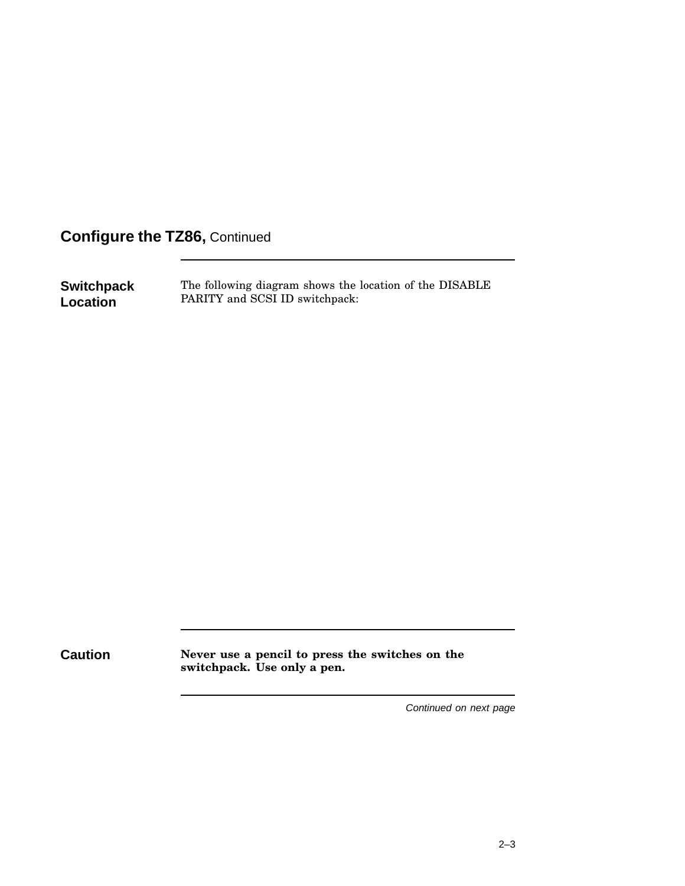**Configure the TZ86,** Continued

**Switchpack Location**

The following diagram shows the location of the DISABLE PARITY and SCSI ID switchpack:

**Caution Never use a pencil to press the switches on the switchpack. Use only a pen.**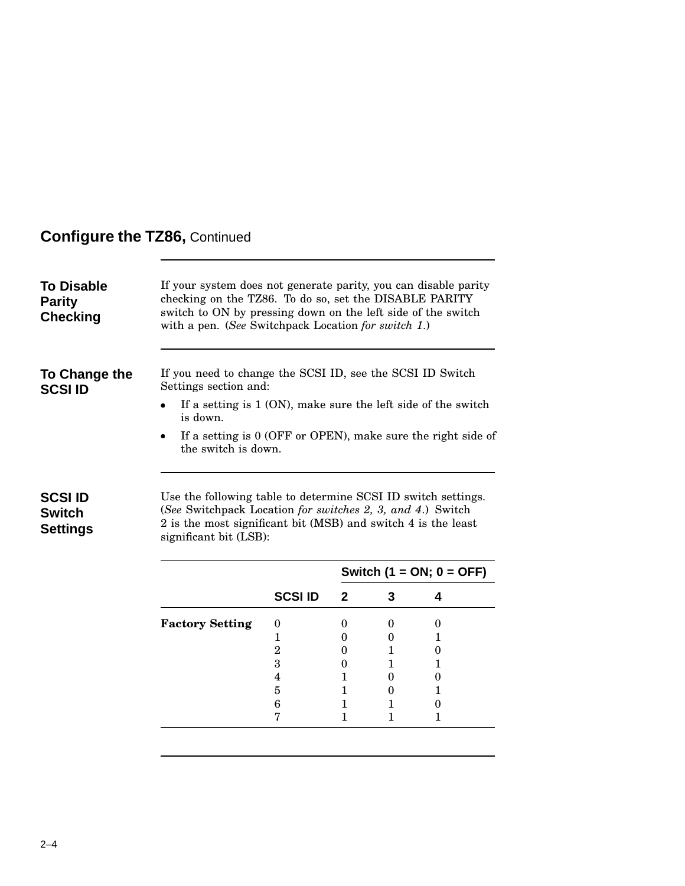## **Configure the TZ86,** Continued

| <b>To Disable</b><br><b>Parity</b><br><b>Checking</b> | If your system does not generate parity, you can disable parity<br>checking on the TZ86. To do so, set the DISABLE PARITY<br>switch to ON by pressing down on the left side of the switch<br>with a pen. (See Switchpack Location for switch 1.)                                                                             |                  |                  |                            |                  |  |
|-------------------------------------------------------|------------------------------------------------------------------------------------------------------------------------------------------------------------------------------------------------------------------------------------------------------------------------------------------------------------------------------|------------------|------------------|----------------------------|------------------|--|
| To Change the<br><b>SCSI ID</b>                       | If you need to change the SCSI ID, see the SCSI ID Switch<br>Settings section and:                                                                                                                                                                                                                                           |                  |                  |                            |                  |  |
|                                                       | If a setting is $1$ (ON), make sure the left side of the switch<br>is down.                                                                                                                                                                                                                                                  |                  |                  |                            |                  |  |
| <b>SCSI ID</b><br><b>Switch</b><br><b>Settings</b>    | If a setting is $0$ (OFF or OPEN), make sure the right side of<br>$\bullet$<br>the switch is down.<br>Use the following table to determine SCSI ID switch settings.<br>(See Switchpack Location for switches 2, 3, and 4.) Switch<br>2 is the most significant bit (MSB) and switch 4 is the least<br>significant bit (LSB): |                  |                  |                            |                  |  |
|                                                       |                                                                                                                                                                                                                                                                                                                              |                  |                  | Switch $(1 = ON; 0 = OFF)$ |                  |  |
|                                                       |                                                                                                                                                                                                                                                                                                                              | <b>SCSI ID</b>   | $\mathbf{2}$     | 3                          | 4                |  |
|                                                       | <b>Factory Setting</b>                                                                                                                                                                                                                                                                                                       | $\bf{0}$         | 0                | 0                          | $\bf{0}$         |  |
|                                                       |                                                                                                                                                                                                                                                                                                                              | 1                | 0                | 0                          | 1                |  |
|                                                       |                                                                                                                                                                                                                                                                                                                              | $\mathbf{2}$     | $\theta$         | 1                          | $\mathbf{0}$     |  |
|                                                       |                                                                                                                                                                                                                                                                                                                              | $\boldsymbol{3}$ | $\boldsymbol{0}$ | 1                          | 1                |  |
|                                                       |                                                                                                                                                                                                                                                                                                                              | 4                | 1                | $\Omega$                   | $\theta$         |  |
|                                                       |                                                                                                                                                                                                                                                                                                                              | 5                | 1                | $\theta$                   | 1                |  |
|                                                       |                                                                                                                                                                                                                                                                                                                              | 6                | 1                | 1                          | $\boldsymbol{0}$ |  |
|                                                       |                                                                                                                                                                                                                                                                                                                              | 7                | $\mathbf{1}$     | $\mathbf{1}$               | $\mathbf{1}$     |  |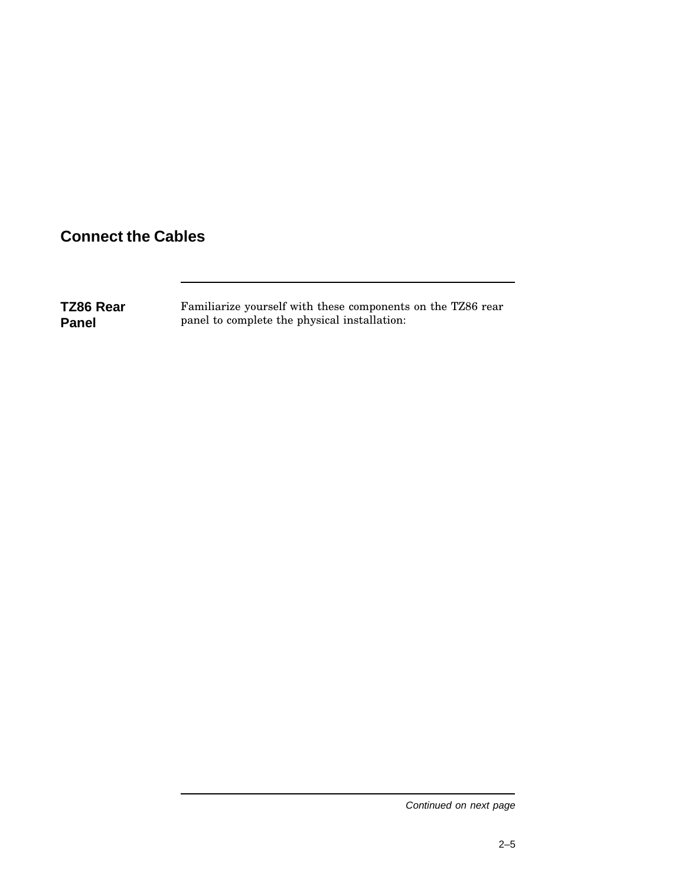#### **Connect the Cables**

**TZ86 Rear Panel**

Familiarize yourself with these components on the TZ86 rear panel to complete the physical installation: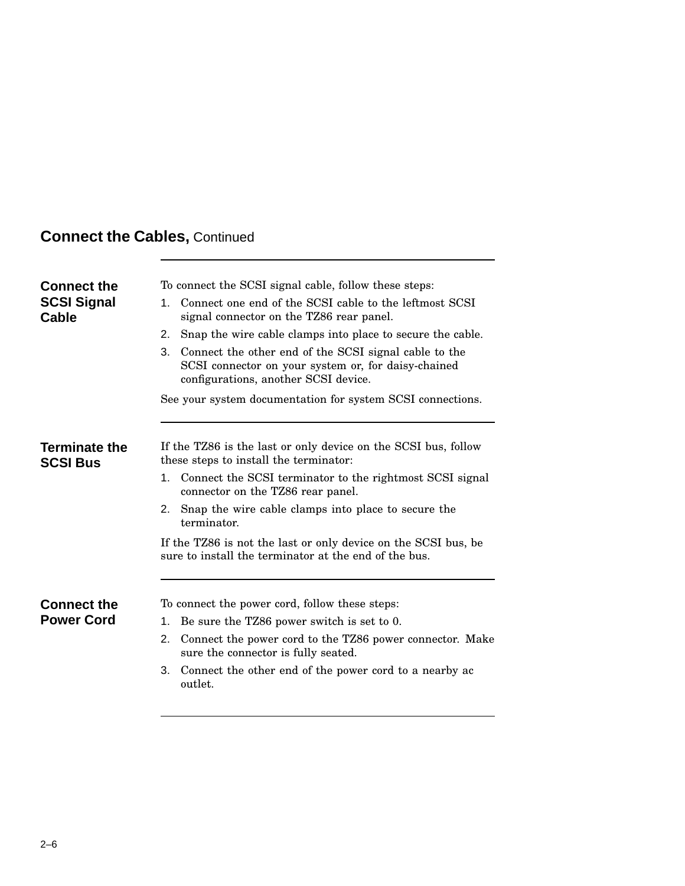## **Connect the Cables,** Continued

| <b>Connect the</b><br><b>SCSI Signal</b><br>Cable | To connect the SCSI signal cable, follow these steps:<br>Connect one end of the SCSI cable to the leftmost SCSI<br>$1_{-}$<br>signal connector on the TZ86 rear panel.<br>Snap the wire cable clamps into place to secure the cable.<br>2.<br>3. Connect the other end of the SCSI signal cable to the<br>SCSI connector on your system or, for daisy-chained<br>configurations, another SCSI device.<br>See your system documentation for system SCSI connections. |
|---------------------------------------------------|---------------------------------------------------------------------------------------------------------------------------------------------------------------------------------------------------------------------------------------------------------------------------------------------------------------------------------------------------------------------------------------------------------------------------------------------------------------------|
| <b>Terminate the</b><br><b>SCSI Bus</b>           | If the TZ86 is the last or only device on the SCSI bus, follow<br>these steps to install the terminator:<br>1. Connect the SCSI terminator to the rightmost SCSI signal<br>connector on the TZ86 rear panel.<br>2. Snap the wire cable clamps into place to secure the<br>terminator.                                                                                                                                                                               |
|                                                   | If the TZ86 is not the last or only device on the SCSI bus, be<br>sure to install the terminator at the end of the bus.                                                                                                                                                                                                                                                                                                                                             |
| <b>Connect the</b><br><b>Power Cord</b>           | To connect the power cord, follow these steps:<br>Be sure the TZ86 power switch is set to 0.<br>1.<br>2. Connect the power cord to the TZ86 power connector. Make<br>sure the connector is fully seated.<br>3.<br>Connect the other end of the power cord to a nearby ac<br>outlet.                                                                                                                                                                                 |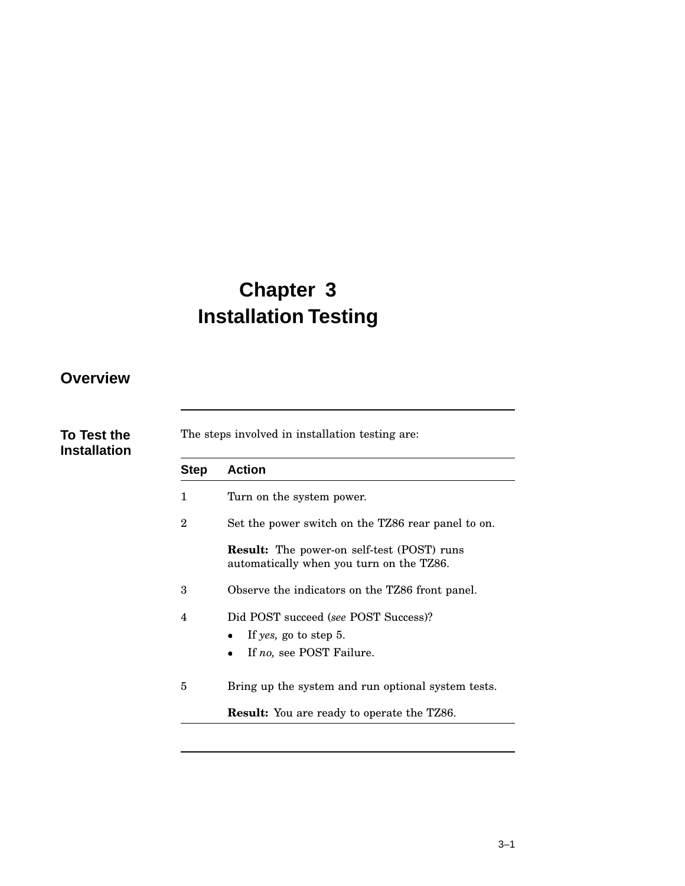# **Chapter 3 Installation Testing**

#### **Overview**

| <b>To Test the</b><br><b>Installation</b> | The steps involved in installation testing are: |                                                                                               |  |
|-------------------------------------------|-------------------------------------------------|-----------------------------------------------------------------------------------------------|--|
|                                           | <b>Step</b>                                     | <b>Action</b>                                                                                 |  |
|                                           | 1                                               | Turn on the system power.                                                                     |  |
|                                           | $\overline{2}$                                  | Set the power switch on the TZ86 rear panel to on.                                            |  |
|                                           |                                                 | <b>Result:</b> The power-on self-test (POST) runs<br>automatically when you turn on the TZ86. |  |
|                                           | 3                                               | Observe the indicators on the TZ86 front panel.                                               |  |
|                                           | $\overline{\mathbf{4}}$                         | Did POST succeed (see POST Success)?                                                          |  |
|                                           |                                                 | If yes, go to step 5.                                                                         |  |
|                                           |                                                 | If no, see POST Failure.                                                                      |  |
|                                           | 5                                               | Bring up the system and run optional system tests.                                            |  |
|                                           |                                                 | <b>Result:</b> You are ready to operate the TZ86.                                             |  |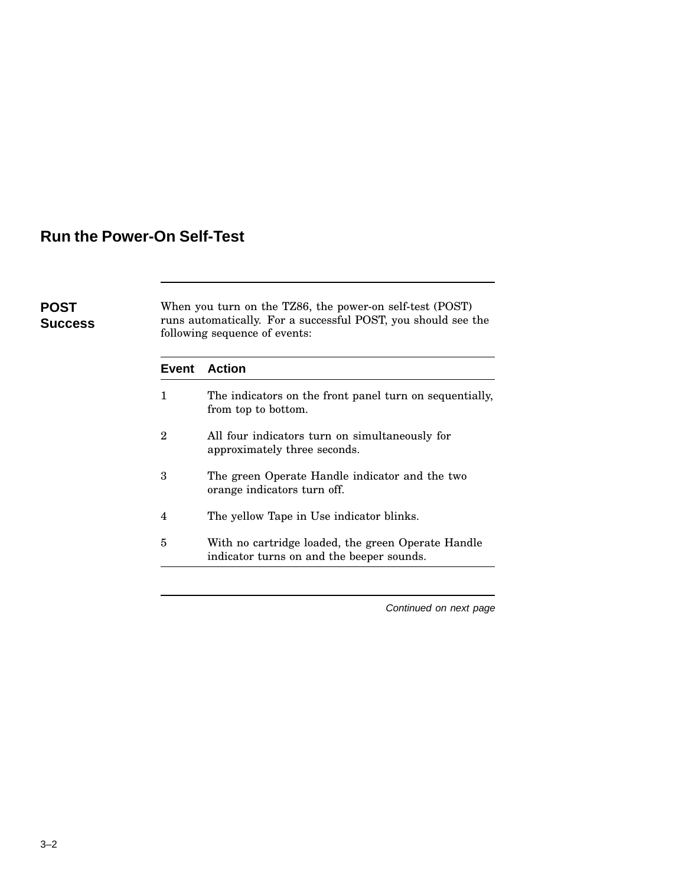#### **Run the Power-On Self-Test**

**POST Success**

When you turn on the TZ86, the power-on self-test (POST) runs automatically. For a successful POST, you should see the following sequence of events:

|   | <b>Event Action</b>                                                                             |
|---|-------------------------------------------------------------------------------------------------|
|   | The indicators on the front panel turn on sequentially,<br>from top to bottom.                  |
| 2 | All four indicators turn on simultaneously for<br>approximately three seconds.                  |
| 3 | The green Operate Handle indicator and the two<br>orange indicators turn off.                   |
| 4 | The yellow Tape in Use indicator blinks.                                                        |
| 5 | With no cartridge loaded, the green Operate Handle<br>indicator turns on and the beeper sounds. |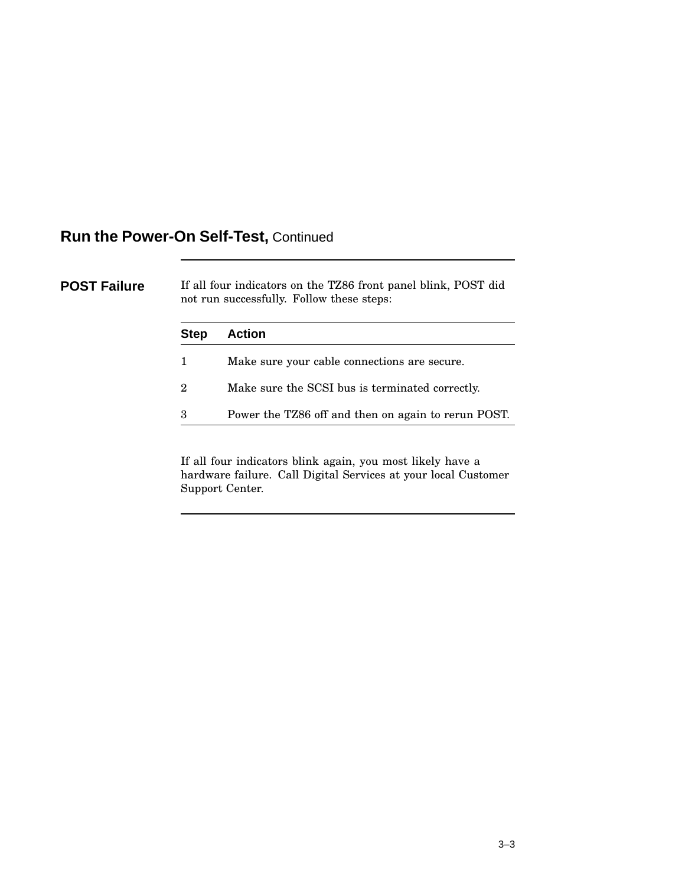### **Run the Power-On Self-Test,** Continued

| <b>Step</b> | <b>Action</b>                                       |
|-------------|-----------------------------------------------------|
| 1           | Make sure your cable connections are secure.        |
| 2           | Make sure the SCSI bus is terminated correctly.     |
| 3           | Power the TZ86 off and then on again to rerun POST. |

If all four indicators blink again, you most likely have a hardware failure. Call Digital Services at your local Customer Support Center.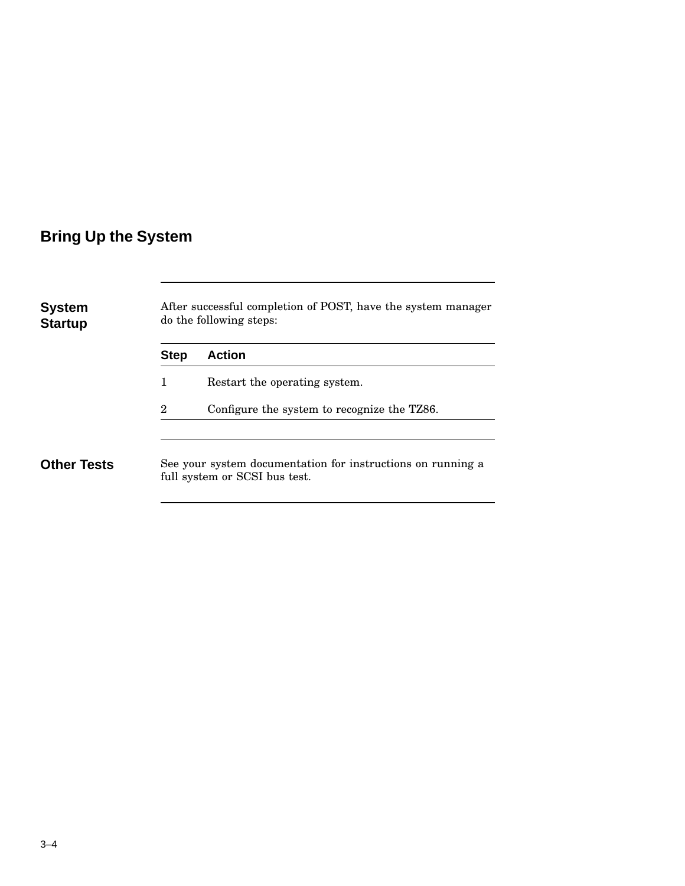## **Bring Up the System**

| <b>System</b><br><b>Startup</b> |             | After successful completion of POST, have the system manager<br>do the following steps:      |  |  |
|---------------------------------|-------------|----------------------------------------------------------------------------------------------|--|--|
|                                 | <b>Step</b> | Action                                                                                       |  |  |
|                                 | 1           | Restart the operating system.                                                                |  |  |
|                                 | 2           | Configure the system to recognize the TZ86.                                                  |  |  |
|                                 |             |                                                                                              |  |  |
| <b>Other Tests</b>              |             | See your system documentation for instructions on running a<br>full system or SCSI bus test. |  |  |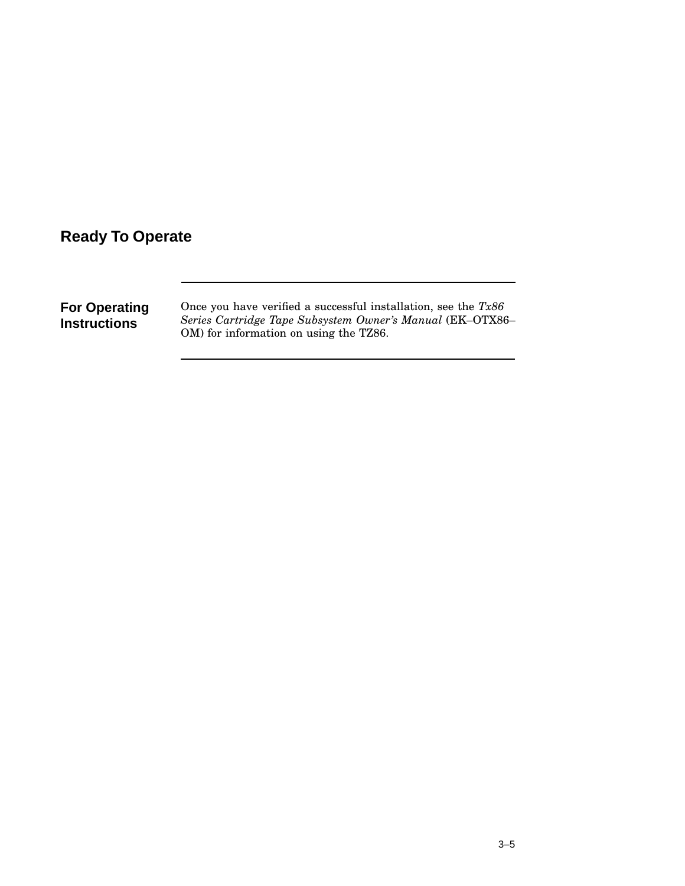### **Ready To Operate**

**For Operating Instructions**

Once you have verified a successful installation, see the *Tx86 Series Cartridge Tape Subsystem Owner's Manual* (EK–OTX86– OM) for information on using the TZ86.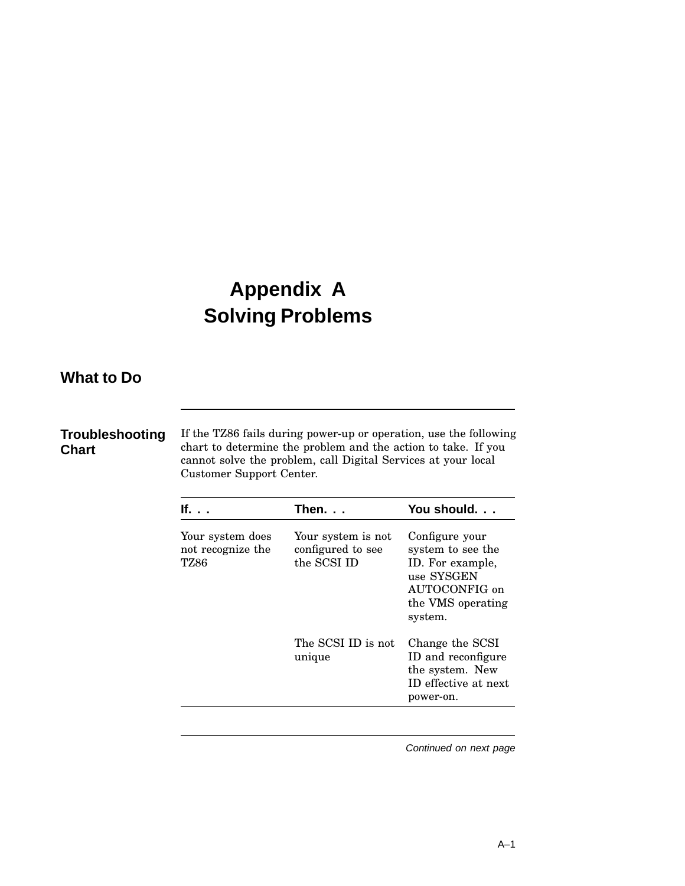## **Appendix A Solving Problems**

#### **What to Do**

| <b>Troubleshooting</b><br><b>Chart</b> | If the TZ86 fails during power-up or operation, use the following<br>chart to determine the problem and the action to take. If you<br>cannot solve the problem, call Digital Services at your local<br>Customer Support Center. |
|----------------------------------------|---------------------------------------------------------------------------------------------------------------------------------------------------------------------------------------------------------------------------------|
|                                        |                                                                                                                                                                                                                                 |

| lf.                                           | Then. $\ldots$                                         | You should                                                                                                             |
|-----------------------------------------------|--------------------------------------------------------|------------------------------------------------------------------------------------------------------------------------|
| Your system does<br>not recognize the<br>TZ86 | Your system is not<br>configured to see<br>the SCSI ID | Configure your<br>system to see the<br>ID. For example,<br>use SYSGEN<br>AUTOCONFIG on<br>the VMS operating<br>system. |
|                                               | The SCSI ID is not<br>unique                           | Change the SCSI<br>ID and reconfigure<br>the system. New<br>ID effective at next<br>power-on.                          |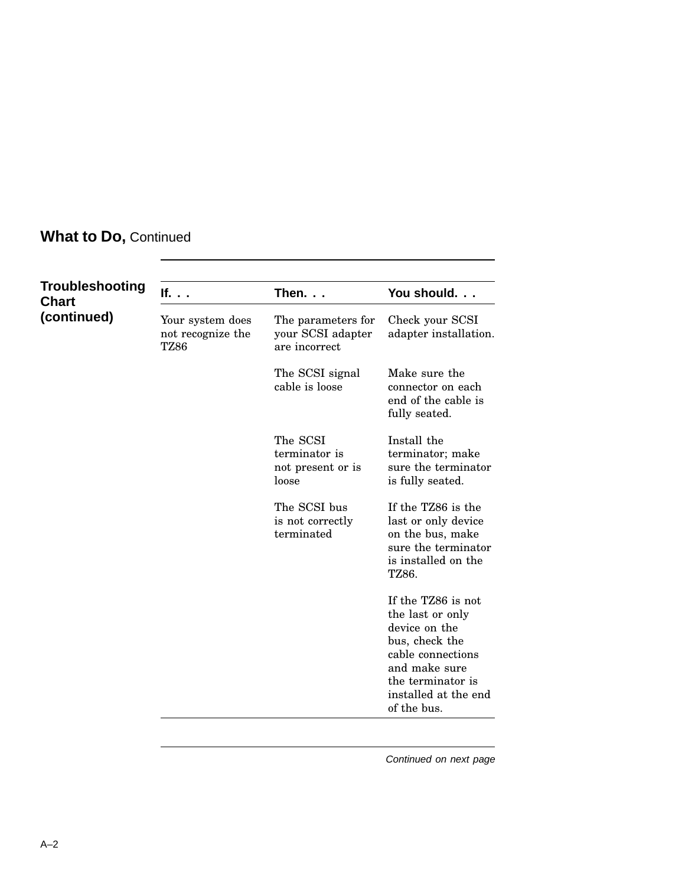### **What to Do,** Continued

| Troubleshooting<br><b>Chart</b> | If. $\ldots$                                         | Then.                                                    | You should.                                                                                                                                                                 |
|---------------------------------|------------------------------------------------------|----------------------------------------------------------|-----------------------------------------------------------------------------------------------------------------------------------------------------------------------------|
| (continued)                     | Your system does<br>not recognize the<br><b>TZ86</b> | The parameters for<br>your SCSI adapter<br>are incorrect | Check your SCSI<br>adapter installation.                                                                                                                                    |
|                                 |                                                      | The SCSI signal<br>cable is loose                        | Make sure the<br>connector on each<br>end of the cable is<br>fully seated.                                                                                                  |
|                                 |                                                      | The SCSI<br>terminator is<br>not present or is<br>loose  | Install the<br>terminator; make<br>sure the terminator<br>is fully seated.                                                                                                  |
|                                 |                                                      | The SCSI bus<br>is not correctly<br>terminated           | If the TZ86 is the<br>last or only device<br>on the bus, make<br>sure the terminator<br>is installed on the<br>TZ86.                                                        |
|                                 |                                                      |                                                          | If the TZ86 is not<br>the last or only<br>device on the<br>bus, check the<br>cable connections<br>and make sure<br>the terminator is<br>installed at the end<br>of the bus. |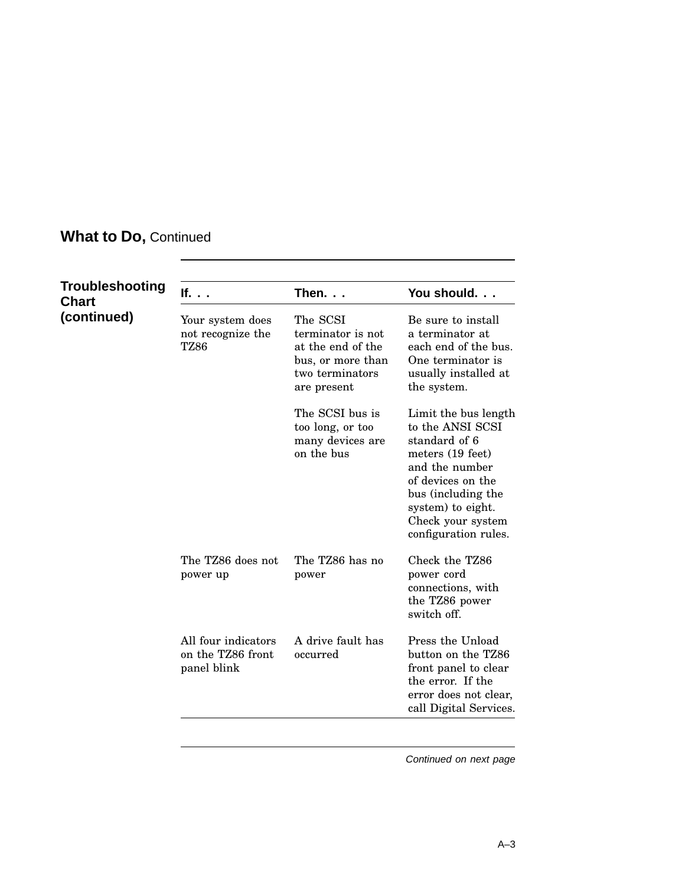### **What to Do,** Continued

| <b>Troubleshooting</b> | If. $\ldots$                                            | Then. $\ldots$                                                                                            | You should.                                                                                                                                                                                                  |
|------------------------|---------------------------------------------------------|-----------------------------------------------------------------------------------------------------------|--------------------------------------------------------------------------------------------------------------------------------------------------------------------------------------------------------------|
|                        | Your system does<br>not recognize the<br><b>TZ86</b>    | The SCSI<br>terminator is not<br>at the end of the<br>bus, or more than<br>two terminators<br>are present | Be sure to install<br>a terminator at<br>each end of the bus.<br>One terminator is<br>usually installed at<br>the system.                                                                                    |
|                        |                                                         | The SCSI bus is<br>too long, or too<br>many devices are<br>on the bus                                     | Limit the bus length<br>to the ANSI SCSI<br>standard of 6<br>meters (19 feet)<br>and the number<br>of devices on the<br>bus (including the<br>system) to eight.<br>Check your system<br>configuration rules. |
|                        | The TZ86 does not<br>power up                           | The TZ86 has no<br>power                                                                                  | Check the TZ86<br>power cord<br>connections, with<br>the TZ86 power<br>switch off.                                                                                                                           |
|                        | All four indicators<br>on the TZ86 front<br>panel blink | A drive fault has<br>occurred                                                                             | Press the Unload<br>button on the TZ86<br>front panel to clear<br>the error. If the<br>error does not clear,<br>call Digital Services.                                                                       |